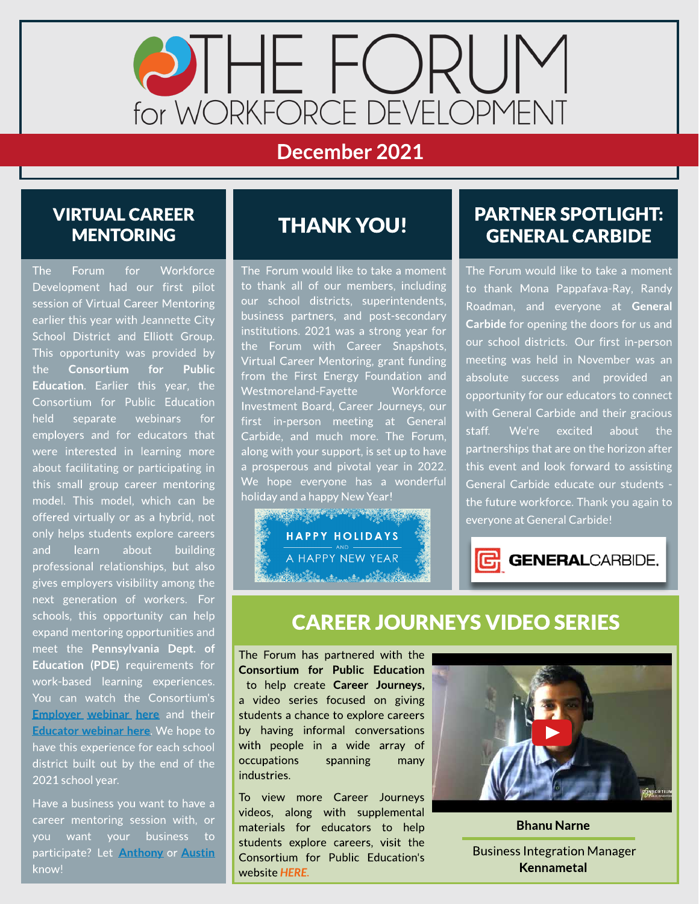

### December 2021

#### VIRTUAL CAREER **MENTORING**

The Forum for Workforce Development had our first pilot session of Virtual Career Mentoring earlier this year with Jeannette City School District and Elliott Group. This opportunity was provided by the Consortium for Public Education. Earlier this year, the Consortium for Public Education held separate webinars for employers and for educators that were interested in learning more about facilitating or participating in this small group career mentoring model. This model, which can be offered virtually or as a hybrid, not only helps students explore careers and learn about building professional relationships, but also gives employers visibility among the next generation of workers. For schools, this opportunity can help expand mentoring opportunities and meet the Pennsylvania Dept. of Education (PDE) requirements for work-based learning experiences. You can watch the Consortium's **[Employer](https://www.youtube.com/watch?v=0GrotsZB4tY) [webinar](https://www.youtube.com/watch?v=0GrotsZB4tY) [here](https://www.youtube.com/watch?v=0GrotsZB4tY)** and their **[Educator](https://www.youtube.com/watch?v=FjJ44CHWNhA) [webinar](https://www.youtube.com/watch?v=FjJ44CHWNhA) [here](https://www.youtube.com/watch?v=FjJ44CHWNhA).** We hope to have this experience for each school district built out by the end of the 2021 school year.

Have a business you want to have a career mentoring session with, or you want your business to participate? Let [Anthony](mailto:aprinceton@egcw.org) or [Austin](mailto:aanderson@egcw.org) know!

# THANK YOU!

The Forum would like to take a moment to thank all of our members, including our school districts, superintendents, business partners, and post-secondary institutions. 2021 was a strong year for the Forum with Career Snapshots, Virtual Career Mentoring, grant funding from the First Energy Foundation and Westmoreland-Fayette Workforce Investment Board, Career Journeys, our first in-person meeting at General Carbide, and much more. The Forum, along with your support, is set up to have a prosperous and pivotal year in 2022. We hope everyone has a wonderful holiday and a happy New Year!



#### PARTNER SPOTLIGHT: GENERAL CARBIDE

The Forum would like to take a moment to thank Mona Pappafava-Ray, Randy Roadman, and everyone at General Carbide for opening the doors for us and our school districts. Our first in-person meeting was held in November was an absolute success and provided an opportunity for our educators to connect with General Carbide and their gracious staff. We're excited about the partnerships that are on the horizon after this event and look forward to assisting General Carbide educate our students the future workforce. Thank you again to everyone at General Carbide!



## **CAREER JOURNEYS VIDEO SERIES**

The Forum has partnered with the Consortium for Public Education to help create Career Journeys, a video series focused on giving students a chance to explore careers by having informal conversations with people in a wide array of occupations spanning many industries.

To view more Career Journeys videos, along with supplemental materials for educators to help students explore careers, visit the Consortium for Public Education's website **[HERE.](https://www.theconsortiumforpubliceducation.org/career-journeys/)**



Bhanu Narne .

Business Integration Manager Kennametal